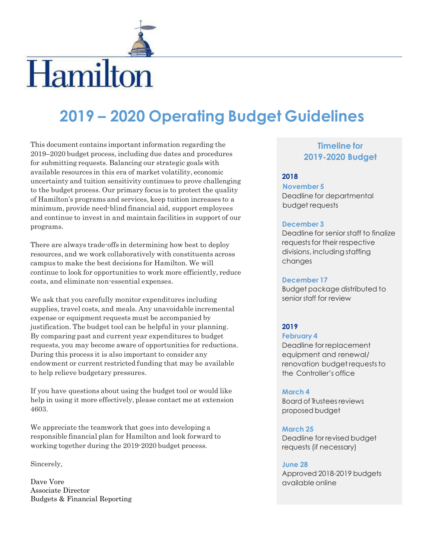

# Hamilton

# **2019 – 2020 Operating Budget Guidelines**

This document contains important information regarding the 2019–2020 budget process, including due dates and procedures for submitting requests. Balancing our strategic goals with available resources in this era of market volatility, economic uncertainty and tuition sensitivity continues to prove challenging to the budget process. Our primary focus is to protect the quality of Hamilton's programs and services, keep tuition increases to a minimum, provide need-blind financial aid, support employees and continue to invest in and maintain facilities in support of our programs.

There are always trade-offs in determining how best to deploy resources, and we work collaboratively with constituents across campus to make the best decisions for Hamilton. We will continue to look for opportunities to work more efficiently, reduce costs, and eliminate non-essential expenses.

We ask that you carefully monitor expenditures including supplies, travel costs, and meals. Any unavoidable incremental expense or equipment requests must be accompanied by justification. The budget tool can be helpful in your planning. By comparing past and current year expenditures to budget requests, you may become aware of opportunities for reductions. During this process it is also important to consider any endowment or current restricted funding that may be available to help relieve budgetary pressures.

If you have questions about using the budget tool or would like help in using it more effectively, please contact me at extension 4603.

We appreciate the teamwork that goes into developing a responsible financial plan for Hamilton and look forward to working together during the 2019-2020 budget process.

Sincerely,

Dave Vore Associate Director Budgets & Financial Reporting

# **Timeline for 2019-2020 Budget**

#### **2018**

**November 5** Deadline for departmental budget requests

#### **December 3**

Deadline for senior staff to finalize requests for their respective divisions, including staffing changes

#### **December 17**

Budget package distributed to senior staff for review

# **2019**

#### **February 4**

Deadline for replacement equipment and renewal/ renovation budget requests to the Controller's office

#### **March 4**

Board of Trusteesreviews proposed budget

#### **March 25**

Deadline for revised budget requests (if necessary)

#### **June 28**

Approved 2018-2019 budgets available online